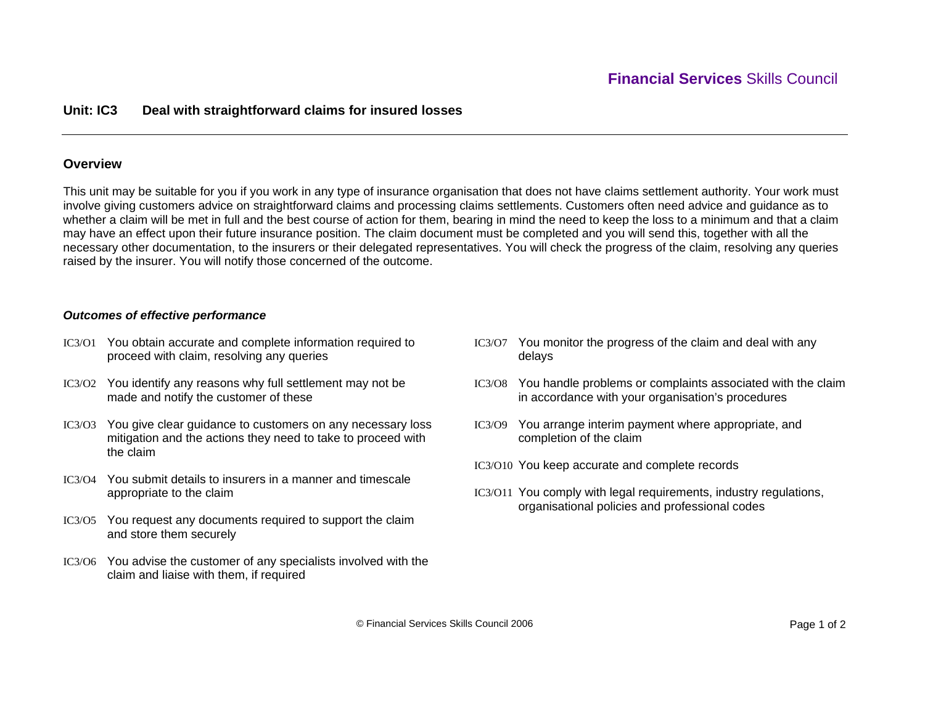# **Unit: IC3 Deal with straightforward claims for insured losses**

## **Overview**

This unit may be suitable for you if you work in any type of insurance organisation that does not have claims settlement authority. Your work must involve giving customers advice on straightforward claims and processing claims settlements. Customers often need advice and guidance as to whether a claim will be met in full and the best course of action for them, bearing in mind the need to keep the loss to a minimum and that a claim may have an effect upon their future insurance position. The claim document must be completed and you will send this, together with all the necessary other documentation, to the insurers or their delegated representatives. You will check the progress of the claim, resolving any queries raised by the insurer. You will notify those concerned of the outcome.

### *Outcomes of effective performance*

- IC3/O1 You obtain accurate and complete information required to proceed with claim, resolving any queries
- IC3/O2 You identify any reasons why full settlement may not be made and notify the customer of these
- IC3/O3 You give clear guidance to customers on any necessary loss mitigation and the actions they need to take to proceed with the claim
- IC3/O4 You submit details to insurers in a manner and timescale appropriate to the claim
- IC3/O5 You request any documents required to support the claim and store them securely
- IC3/O6 You advise the customer of any specialists involved with the claim and liaise with them, if required
- IC3/O7 You monitor the progress of the claim and deal with any delays
- IC3/O8 You handle problems or complaints associated with the claim in accordance with your organisation's procedures
- IC3/O9 You arrange interim payment where appropriate, and completion of the claim
- IC3/O10 You keep accurate and complete records
- IC3/O11 You comply with legal requirements, industry regulations, organisational policies and professional codes